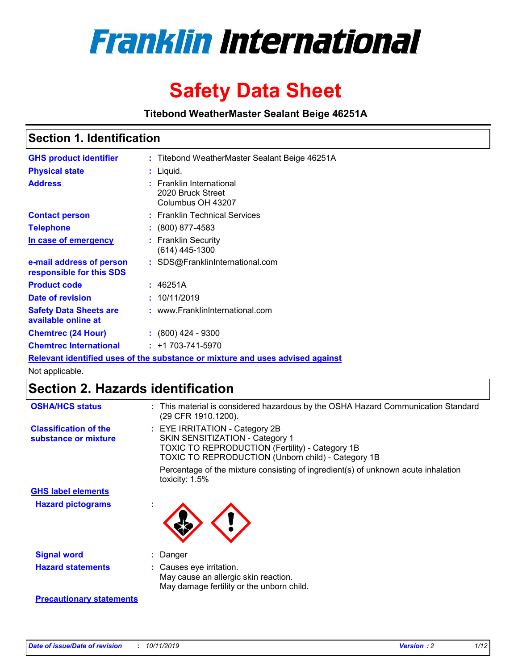

# **Safety Data Sheet**

**Titebond WeatherMaster Sealant Beige 46251A**

### **Section 1. Identification**

| <b>GHS product identifier</b>                        | : Titebond WeatherMaster Sealant Beige 46251A                                 |
|------------------------------------------------------|-------------------------------------------------------------------------------|
| <b>Physical state</b>                                | : Liquid.                                                                     |
| <b>Address</b>                                       | : Franklin International<br>2020 Bruck Street<br>Columbus OH 43207            |
| <b>Contact person</b>                                | : Franklin Technical Services                                                 |
| <b>Telephone</b>                                     | : (800) 877-4583                                                              |
| In case of emergency                                 | : Franklin Security<br>$(614)$ 445-1300                                       |
| e-mail address of person<br>responsible for this SDS | : SDS@FranklinInternational.com                                               |
| <b>Product code</b>                                  | : 46251A                                                                      |
| Date of revision                                     | : 10/11/2019                                                                  |
| <b>Safety Data Sheets are</b><br>available online at | : www.FranklinInternational.com                                               |
| <b>Chemtrec (24 Hour)</b>                            | $\div$ (800) 424 - 9300                                                       |
| <b>Chemtrec International</b>                        | $: +1703 - 741 - 5970$                                                        |
|                                                      | Relevant identified uses of the substance or mixture and uses advised against |

Not applicable.

## **Section 2. Hazards identification**

| <b>OSHA/HCS status</b>                               | : This material is considered hazardous by the OSHA Hazard Communication Standard<br>(29 CFR 1910.1200).                                                                                 |
|------------------------------------------------------|------------------------------------------------------------------------------------------------------------------------------------------------------------------------------------------|
| <b>Classification of the</b><br>substance or mixture | : EYE IRRITATION - Category 2B<br>SKIN SENSITIZATION - Category 1<br><b>TOXIC TO REPRODUCTION (Fertility) - Category 1B</b><br><b>TOXIC TO REPRODUCTION (Unborn child) - Category 1B</b> |
|                                                      | Percentage of the mixture consisting of ingredient(s) of unknown acute inhalation<br>toxicity: $1.5\%$                                                                                   |
| <b>GHS label elements</b>                            |                                                                                                                                                                                          |
| <b>Hazard pictograms</b>                             |                                                                                                                                                                                          |
| <b>Signal word</b>                                   | : Danger                                                                                                                                                                                 |
| <b>Hazard statements</b>                             | : Causes eye irritation.<br>May cause an allergic skin reaction.<br>May damage fertility or the unborn child.                                                                            |
| <b>Precautionary statements</b>                      |                                                                                                                                                                                          |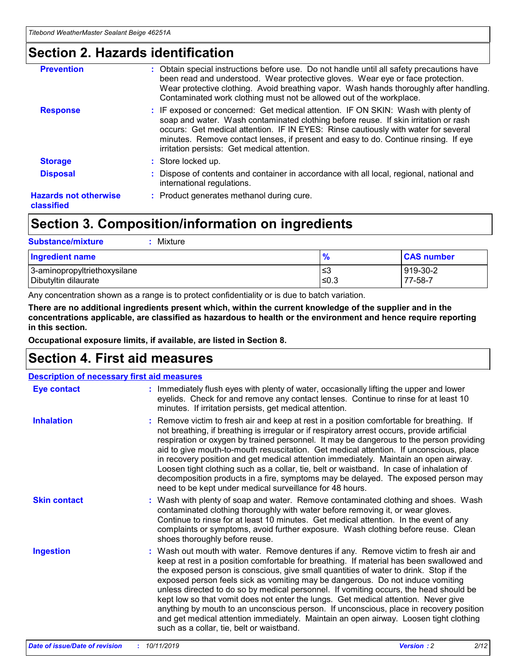### **Section 2. Hazards identification**

| <b>Prevention</b>                          | : Obtain special instructions before use. Do not handle until all safety precautions have<br>been read and understood. Wear protective gloves. Wear eye or face protection.<br>Wear protective clothing. Avoid breathing vapor. Wash hands thoroughly after handling.<br>Contaminated work clothing must not be allowed out of the workplace.                                                        |
|--------------------------------------------|------------------------------------------------------------------------------------------------------------------------------------------------------------------------------------------------------------------------------------------------------------------------------------------------------------------------------------------------------------------------------------------------------|
| <b>Response</b>                            | : IF exposed or concerned: Get medical attention. IF ON SKIN: Wash with plenty of<br>soap and water. Wash contaminated clothing before reuse. If skin irritation or rash<br>occurs: Get medical attention. IF IN EYES: Rinse cautiously with water for several<br>minutes. Remove contact lenses, if present and easy to do. Continue rinsing. If eye<br>irritation persists: Get medical attention. |
| <b>Storage</b>                             | : Store locked up.                                                                                                                                                                                                                                                                                                                                                                                   |
| <b>Disposal</b>                            | : Dispose of contents and container in accordance with all local, regional, national and<br>international regulations.                                                                                                                                                                                                                                                                               |
| <b>Hazards not otherwise</b><br>classified | : Product generates methanol during cure.                                                                                                                                                                                                                                                                                                                                                            |
|                                            |                                                                                                                                                                                                                                                                                                                                                                                                      |

### **Section 3. Composition/information on ingredients**

| <b>Substance/mixture</b><br>Mixture                  |                   |                     |
|------------------------------------------------------|-------------------|---------------------|
| <b>Ingredient name</b>                               | $\frac{9}{6}$     | <b>CAS number</b>   |
| 3-aminopropyltriethoxysilane<br>Dibutyltin dilaurate | l≤3<br>$\leq 0.3$ | 919-30-2<br>77-58-7 |

Any concentration shown as a range is to protect confidentiality or is due to batch variation.

**There are no additional ingredients present which, within the current knowledge of the supplier and in the concentrations applicable, are classified as hazardous to health or the environment and hence require reporting in this section.**

**Occupational exposure limits, if available, are listed in Section 8.**

### **Section 4. First aid measures**

| <b>Description of necessary first aid measures</b> |                                                                                                                                                                                                                                                                                                                                                                                                                                                                                                                                                                                                                                                                                                                                                                           |  |  |  |
|----------------------------------------------------|---------------------------------------------------------------------------------------------------------------------------------------------------------------------------------------------------------------------------------------------------------------------------------------------------------------------------------------------------------------------------------------------------------------------------------------------------------------------------------------------------------------------------------------------------------------------------------------------------------------------------------------------------------------------------------------------------------------------------------------------------------------------------|--|--|--|
| <b>Eye contact</b>                                 | : Immediately flush eyes with plenty of water, occasionally lifting the upper and lower<br>eyelids. Check for and remove any contact lenses. Continue to rinse for at least 10<br>minutes. If irritation persists, get medical attention.                                                                                                                                                                                                                                                                                                                                                                                                                                                                                                                                 |  |  |  |
| <b>Inhalation</b>                                  | : Remove victim to fresh air and keep at rest in a position comfortable for breathing. If<br>not breathing, if breathing is irregular or if respiratory arrest occurs, provide artificial<br>respiration or oxygen by trained personnel. It may be dangerous to the person providing<br>aid to give mouth-to-mouth resuscitation. Get medical attention. If unconscious, place<br>in recovery position and get medical attention immediately. Maintain an open airway.<br>Loosen tight clothing such as a collar, tie, belt or waistband. In case of inhalation of<br>decomposition products in a fire, symptoms may be delayed. The exposed person may<br>need to be kept under medical surveillance for 48 hours.                                                       |  |  |  |
| <b>Skin contact</b>                                | : Wash with plenty of soap and water. Remove contaminated clothing and shoes. Wash<br>contaminated clothing thoroughly with water before removing it, or wear gloves.<br>Continue to rinse for at least 10 minutes. Get medical attention. In the event of any<br>complaints or symptoms, avoid further exposure. Wash clothing before reuse. Clean<br>shoes thoroughly before reuse.                                                                                                                                                                                                                                                                                                                                                                                     |  |  |  |
| <b>Ingestion</b>                                   | : Wash out mouth with water. Remove dentures if any. Remove victim to fresh air and<br>keep at rest in a position comfortable for breathing. If material has been swallowed and<br>the exposed person is conscious, give small quantities of water to drink. Stop if the<br>exposed person feels sick as vomiting may be dangerous. Do not induce vomiting<br>unless directed to do so by medical personnel. If vomiting occurs, the head should be<br>kept low so that vomit does not enter the lungs. Get medical attention. Never give<br>anything by mouth to an unconscious person. If unconscious, place in recovery position<br>and get medical attention immediately. Maintain an open airway. Loosen tight clothing<br>such as a collar, tie, belt or waistband. |  |  |  |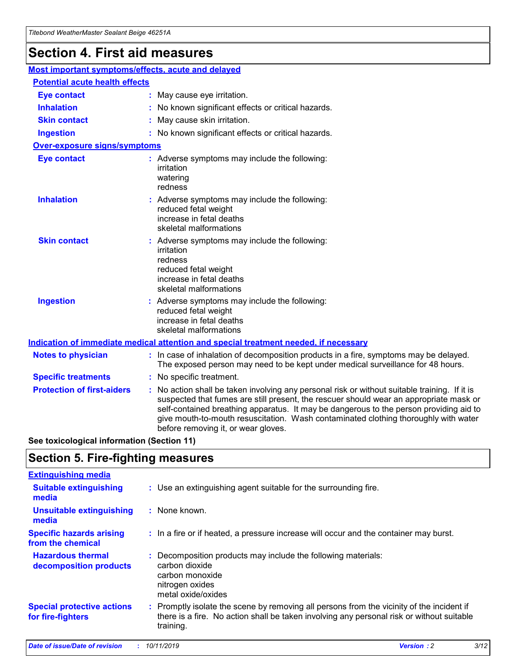## **Section 4. First aid measures**

| Most important symptoms/effects, acute and delayed |                                       |                                                                                                                                                                                                                                                                                                                                                                                                                 |  |  |  |
|----------------------------------------------------|---------------------------------------|-----------------------------------------------------------------------------------------------------------------------------------------------------------------------------------------------------------------------------------------------------------------------------------------------------------------------------------------------------------------------------------------------------------------|--|--|--|
|                                                    | <b>Potential acute health effects</b> |                                                                                                                                                                                                                                                                                                                                                                                                                 |  |  |  |
| <b>Eye contact</b>                                 |                                       | : May cause eye irritation.                                                                                                                                                                                                                                                                                                                                                                                     |  |  |  |
| <b>Inhalation</b>                                  |                                       | : No known significant effects or critical hazards.                                                                                                                                                                                                                                                                                                                                                             |  |  |  |
| <b>Skin contact</b>                                |                                       | : May cause skin irritation.                                                                                                                                                                                                                                                                                                                                                                                    |  |  |  |
| <b>Ingestion</b>                                   |                                       | : No known significant effects or critical hazards.                                                                                                                                                                                                                                                                                                                                                             |  |  |  |
| <b>Over-exposure signs/symptoms</b>                |                                       |                                                                                                                                                                                                                                                                                                                                                                                                                 |  |  |  |
| <b>Eye contact</b>                                 |                                       | : Adverse symptoms may include the following:<br>irritation<br>watering<br>redness                                                                                                                                                                                                                                                                                                                              |  |  |  |
| <b>Inhalation</b>                                  |                                       | : Adverse symptoms may include the following:<br>reduced fetal weight<br>increase in fetal deaths<br>skeletal malformations                                                                                                                                                                                                                                                                                     |  |  |  |
| <b>Skin contact</b>                                |                                       | : Adverse symptoms may include the following:<br>irritation<br>redness<br>reduced fetal weight<br>increase in fetal deaths<br>skeletal malformations                                                                                                                                                                                                                                                            |  |  |  |
| <b>Ingestion</b>                                   |                                       | : Adverse symptoms may include the following:<br>reduced fetal weight<br>increase in fetal deaths<br>skeletal malformations                                                                                                                                                                                                                                                                                     |  |  |  |
|                                                    |                                       | <b>Indication of immediate medical attention and special treatment needed, if necessary</b>                                                                                                                                                                                                                                                                                                                     |  |  |  |
| <b>Notes to physician</b>                          |                                       | : In case of inhalation of decomposition products in a fire, symptoms may be delayed.<br>The exposed person may need to be kept under medical surveillance for 48 hours.                                                                                                                                                                                                                                        |  |  |  |
| <b>Specific treatments</b>                         |                                       | : No specific treatment.                                                                                                                                                                                                                                                                                                                                                                                        |  |  |  |
| <b>Protection of first-aiders</b>                  |                                       | : No action shall be taken involving any personal risk or without suitable training. If it is<br>suspected that fumes are still present, the rescuer should wear an appropriate mask or<br>self-contained breathing apparatus. It may be dangerous to the person providing aid to<br>give mouth-to-mouth resuscitation. Wash contaminated clothing thoroughly with water<br>before removing it, or wear gloves. |  |  |  |

**See toxicological information (Section 11)**

### **Section 5. Fire-fighting measures**

| <b>Extinguishing media</b>                             |                                                                                                                                                                                                     |
|--------------------------------------------------------|-----------------------------------------------------------------------------------------------------------------------------------------------------------------------------------------------------|
| <b>Suitable extinguishing</b><br>media                 | : Use an extinguishing agent suitable for the surrounding fire.                                                                                                                                     |
| <b>Unsuitable extinguishing</b><br>media               | $:$ None known.                                                                                                                                                                                     |
| <b>Specific hazards arising</b><br>from the chemical   | : In a fire or if heated, a pressure increase will occur and the container may burst.                                                                                                               |
| <b>Hazardous thermal</b><br>decomposition products     | : Decomposition products may include the following materials:<br>carbon dioxide<br>carbon monoxide<br>nitrogen oxides<br>metal oxide/oxides                                                         |
| <b>Special protective actions</b><br>for fire-fighters | : Promptly isolate the scene by removing all persons from the vicinity of the incident if<br>there is a fire. No action shall be taken involving any personal risk or without suitable<br>training. |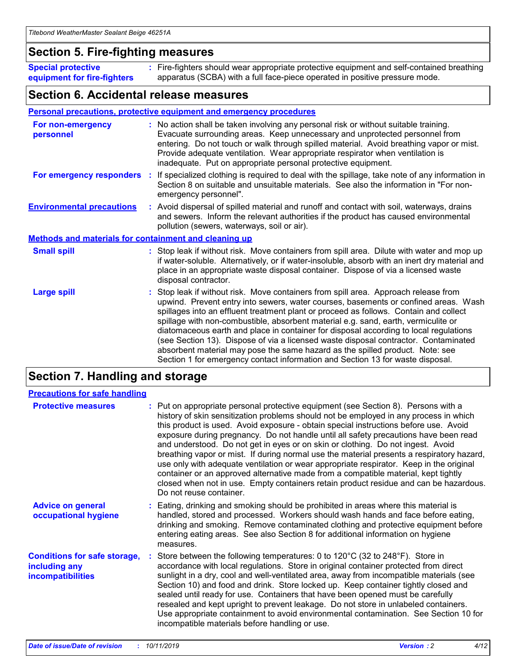### **Section 5. Fire-fighting measures**

**Special protective equipment for fire-fighters** Fire-fighters should wear appropriate protective equipment and self-contained breathing **:** apparatus (SCBA) with a full face-piece operated in positive pressure mode.

### **Section 6. Accidental release measures**

#### **Personal precautions, protective equipment and emergency procedures**

| For non-emergency<br>personnel                               | : No action shall be taken involving any personal risk or without suitable training.<br>Evacuate surrounding areas. Keep unnecessary and unprotected personnel from<br>entering. Do not touch or walk through spilled material. Avoid breathing vapor or mist.<br>Provide adequate ventilation. Wear appropriate respirator when ventilation is<br>inadequate. Put on appropriate personal protective equipment.                                                                                                                                                                                                                                                                                             |
|--------------------------------------------------------------|--------------------------------------------------------------------------------------------------------------------------------------------------------------------------------------------------------------------------------------------------------------------------------------------------------------------------------------------------------------------------------------------------------------------------------------------------------------------------------------------------------------------------------------------------------------------------------------------------------------------------------------------------------------------------------------------------------------|
| For emergency responders                                     | : If specialized clothing is required to deal with the spillage, take note of any information in<br>Section 8 on suitable and unsuitable materials. See also the information in "For non-<br>emergency personnel".                                                                                                                                                                                                                                                                                                                                                                                                                                                                                           |
| <b>Environmental precautions</b>                             | : Avoid dispersal of spilled material and runoff and contact with soil, waterways, drains<br>and sewers. Inform the relevant authorities if the product has caused environmental<br>pollution (sewers, waterways, soil or air).                                                                                                                                                                                                                                                                                                                                                                                                                                                                              |
| <b>Methods and materials for containment and cleaning up</b> |                                                                                                                                                                                                                                                                                                                                                                                                                                                                                                                                                                                                                                                                                                              |
| <b>Small spill</b>                                           | : Stop leak if without risk. Move containers from spill area. Dilute with water and mop up<br>if water-soluble. Alternatively, or if water-insoluble, absorb with an inert dry material and<br>place in an appropriate waste disposal container. Dispose of via a licensed waste<br>disposal contractor.                                                                                                                                                                                                                                                                                                                                                                                                     |
| <b>Large spill</b>                                           | : Stop leak if without risk. Move containers from spill area. Approach release from<br>upwind. Prevent entry into sewers, water courses, basements or confined areas. Wash<br>spillages into an effluent treatment plant or proceed as follows. Contain and collect<br>spillage with non-combustible, absorbent material e.g. sand, earth, vermiculite or<br>diatomaceous earth and place in container for disposal according to local regulations<br>(see Section 13). Dispose of via a licensed waste disposal contractor. Contaminated<br>absorbent material may pose the same hazard as the spilled product. Note: see<br>Section 1 for emergency contact information and Section 13 for waste disposal. |

### **Section 7. Handling and storage**

| <b>Precautions for safe handling</b>                                             |                                                                                                                                                                                                                                                                                                                                                                                                                                                                                                                                                                                                                                                                                                                                                                                                                                                  |
|----------------------------------------------------------------------------------|--------------------------------------------------------------------------------------------------------------------------------------------------------------------------------------------------------------------------------------------------------------------------------------------------------------------------------------------------------------------------------------------------------------------------------------------------------------------------------------------------------------------------------------------------------------------------------------------------------------------------------------------------------------------------------------------------------------------------------------------------------------------------------------------------------------------------------------------------|
| <b>Protective measures</b>                                                       | : Put on appropriate personal protective equipment (see Section 8). Persons with a<br>history of skin sensitization problems should not be employed in any process in which<br>this product is used. Avoid exposure - obtain special instructions before use. Avoid<br>exposure during pregnancy. Do not handle until all safety precautions have been read<br>and understood. Do not get in eyes or on skin or clothing. Do not ingest. Avoid<br>breathing vapor or mist. If during normal use the material presents a respiratory hazard,<br>use only with adequate ventilation or wear appropriate respirator. Keep in the original<br>container or an approved alternative made from a compatible material, kept tightly<br>closed when not in use. Empty containers retain product residue and can be hazardous.<br>Do not reuse container. |
| <b>Advice on general</b><br>occupational hygiene                                 | : Eating, drinking and smoking should be prohibited in areas where this material is<br>handled, stored and processed. Workers should wash hands and face before eating,<br>drinking and smoking. Remove contaminated clothing and protective equipment before<br>entering eating areas. See also Section 8 for additional information on hygiene<br>measures.                                                                                                                                                                                                                                                                                                                                                                                                                                                                                    |
| <b>Conditions for safe storage,</b><br>including any<br><b>incompatibilities</b> | Store between the following temperatures: 0 to $120^{\circ}$ C (32 to $248^{\circ}$ F). Store in<br>accordance with local regulations. Store in original container protected from direct<br>sunlight in a dry, cool and well-ventilated area, away from incompatible materials (see<br>Section 10) and food and drink. Store locked up. Keep container tightly closed and<br>sealed until ready for use. Containers that have been opened must be carefully<br>resealed and kept upright to prevent leakage. Do not store in unlabeled containers.<br>Use appropriate containment to avoid environmental contamination. See Section 10 for<br>incompatible materials before handling or use.                                                                                                                                                     |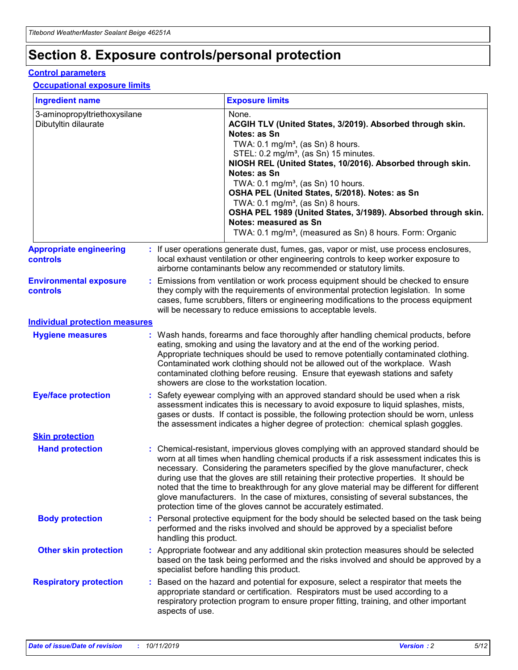## **Section 8. Exposure controls/personal protection**

#### **Control parameters**

#### **Occupational exposure limits**

| <b>Ingredient name</b>                               |    |                        | <b>Exposure limits</b>                                                                                                                                                                                                                                                                                                                                                                                                                                                                                                                                                                                                 |
|------------------------------------------------------|----|------------------------|------------------------------------------------------------------------------------------------------------------------------------------------------------------------------------------------------------------------------------------------------------------------------------------------------------------------------------------------------------------------------------------------------------------------------------------------------------------------------------------------------------------------------------------------------------------------------------------------------------------------|
| 3-aminopropyltriethoxysilane<br>Dibutyltin dilaurate |    |                        | None.<br>ACGIH TLV (United States, 3/2019). Absorbed through skin.<br>Notes: as Sn<br>TWA: $0.1 \text{ mg/m}^3$ , (as Sn) 8 hours.<br>STEL: 0.2 mg/m <sup>3</sup> , (as Sn) 15 minutes.<br>NIOSH REL (United States, 10/2016). Absorbed through skin.<br>Notes: as Sn<br>TWA: 0.1 mg/m <sup>3</sup> , (as Sn) 10 hours.<br>OSHA PEL (United States, 5/2018). Notes: as Sn<br>TWA: 0.1 mg/m <sup>3</sup> , (as Sn) 8 hours.<br>OSHA PEL 1989 (United States, 3/1989). Absorbed through skin.<br>Notes: measured as Sn<br>TWA: 0.1 mg/m <sup>3</sup> , (measured as Sn) 8 hours. Form: Organic                           |
| <b>Appropriate engineering</b><br>controls           |    |                        | : If user operations generate dust, fumes, gas, vapor or mist, use process enclosures,<br>local exhaust ventilation or other engineering controls to keep worker exposure to<br>airborne contaminants below any recommended or statutory limits.                                                                                                                                                                                                                                                                                                                                                                       |
| <b>Environmental exposure</b><br>controls            |    |                        | Emissions from ventilation or work process equipment should be checked to ensure<br>they comply with the requirements of environmental protection legislation. In some<br>cases, fume scrubbers, filters or engineering modifications to the process equipment<br>will be necessary to reduce emissions to acceptable levels.                                                                                                                                                                                                                                                                                          |
| <b>Individual protection measures</b>                |    |                        |                                                                                                                                                                                                                                                                                                                                                                                                                                                                                                                                                                                                                        |
| <b>Hygiene measures</b>                              |    |                        | : Wash hands, forearms and face thoroughly after handling chemical products, before<br>eating, smoking and using the lavatory and at the end of the working period.<br>Appropriate techniques should be used to remove potentially contaminated clothing.<br>Contaminated work clothing should not be allowed out of the workplace. Wash<br>contaminated clothing before reusing. Ensure that eyewash stations and safety<br>showers are close to the workstation location.                                                                                                                                            |
| <b>Eye/face protection</b>                           |    |                        | Safety eyewear complying with an approved standard should be used when a risk<br>assessment indicates this is necessary to avoid exposure to liquid splashes, mists,<br>gases or dusts. If contact is possible, the following protection should be worn, unless<br>the assessment indicates a higher degree of protection: chemical splash goggles.                                                                                                                                                                                                                                                                    |
| <b>Skin protection</b>                               |    |                        |                                                                                                                                                                                                                                                                                                                                                                                                                                                                                                                                                                                                                        |
| <b>Hand protection</b>                               |    |                        | : Chemical-resistant, impervious gloves complying with an approved standard should be<br>worn at all times when handling chemical products if a risk assessment indicates this is<br>necessary. Considering the parameters specified by the glove manufacturer, check<br>during use that the gloves are still retaining their protective properties. It should be<br>noted that the time to breakthrough for any glove material may be different for different<br>glove manufacturers. In the case of mixtures, consisting of several substances, the<br>protection time of the gloves cannot be accurately estimated. |
| <b>Body protection</b>                               |    | handling this product. | Personal protective equipment for the body should be selected based on the task being<br>performed and the risks involved and should be approved by a specialist before                                                                                                                                                                                                                                                                                                                                                                                                                                                |
| <b>Other skin protection</b>                         |    |                        | : Appropriate footwear and any additional skin protection measures should be selected<br>based on the task being performed and the risks involved and should be approved by a<br>specialist before handling this product.                                                                                                                                                                                                                                                                                                                                                                                              |
| <b>Respiratory protection</b>                        | ÷. | aspects of use.        | Based on the hazard and potential for exposure, select a respirator that meets the<br>appropriate standard or certification. Respirators must be used according to a<br>respiratory protection program to ensure proper fitting, training, and other important                                                                                                                                                                                                                                                                                                                                                         |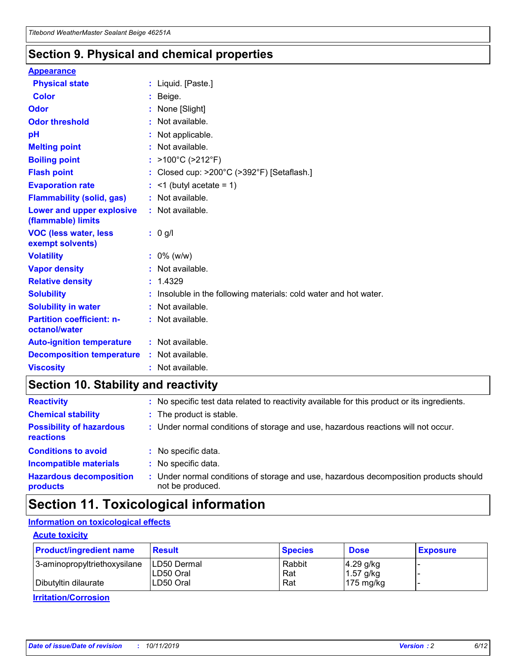### **Section 9. Physical and chemical properties**

#### **Appearance**

| <b>Physical state</b>                             | : Liquid. [Paste.]                                                |
|---------------------------------------------------|-------------------------------------------------------------------|
| Color                                             | Beige.                                                            |
| Odor                                              | None [Slight]                                                     |
| <b>Odor threshold</b>                             | : Not available.                                                  |
| рH                                                | : Not applicable.                                                 |
| <b>Melting point</b>                              | : Not available.                                                  |
| <b>Boiling point</b>                              | : $>100^{\circ}$ C ( $>212^{\circ}$ F)                            |
| <b>Flash point</b>                                | : Closed cup: $>200^{\circ}$ C ( $>392^{\circ}$ F) [Setaflash.]   |
| <b>Evaporation rate</b>                           | $:$ <1 (butyl acetate = 1)                                        |
| <b>Flammability (solid, gas)</b>                  | : Not available.                                                  |
| Lower and upper explosive<br>(flammable) limits   | : Not available.                                                  |
| <b>VOC (less water, less</b><br>exempt solvents)  | : 0 g/l                                                           |
| <b>Volatility</b>                                 | $: 0\%$ (w/w)                                                     |
| <b>Vapor density</b>                              | : Not available.                                                  |
| <b>Relative density</b>                           | : 1.4329                                                          |
| <b>Solubility</b>                                 | : Insoluble in the following materials: cold water and hot water. |
| <b>Solubility in water</b>                        | : Not available.                                                  |
| <b>Partition coefficient: n-</b><br>octanol/water | : Not available.                                                  |
| <b>Auto-ignition temperature</b>                  | : Not available.                                                  |
| <b>Decomposition temperature</b>                  | : Not available.                                                  |
| <b>Viscosity</b>                                  | : Not available.                                                  |

### **Section 10. Stability and reactivity**

| <b>Reactivity</b>                            |    | : No specific test data related to reactivity available for this product or its ingredients.            |
|----------------------------------------------|----|---------------------------------------------------------------------------------------------------------|
| <b>Chemical stability</b>                    |    | : The product is stable.                                                                                |
| <b>Possibility of hazardous</b><br>reactions |    | : Under normal conditions of storage and use, hazardous reactions will not occur.                       |
| <b>Conditions to avoid</b>                   |    | : No specific data.                                                                                     |
| <b>Incompatible materials</b>                | ٠. | No specific data.                                                                                       |
| <b>Hazardous decomposition</b><br>products   | ÷. | Under normal conditions of storage and use, hazardous decomposition products should<br>not be produced. |

### **Section 11. Toxicological information**

#### **Information on toxicological effects**

#### **Acute toxicity**

| <b>Product/ingredient name</b> | <b>Result</b>           | <b>Species</b> | <b>Dose</b>                | <b>Exposure</b> |
|--------------------------------|-------------------------|----------------|----------------------------|-----------------|
| 3-aminopropyltriethoxysilane   | <b>ILD50 Dermal</b>     | Rabbit         | 4.29 g/kg                  |                 |
| Dibutyltin dilaurate           | ILD50 Oral<br>LD50 Oral | Rat<br>Rat     | $1.57$ g/kg<br>175 $mg/kg$ |                 |
|                                |                         |                |                            |                 |

**Irritation/Corrosion**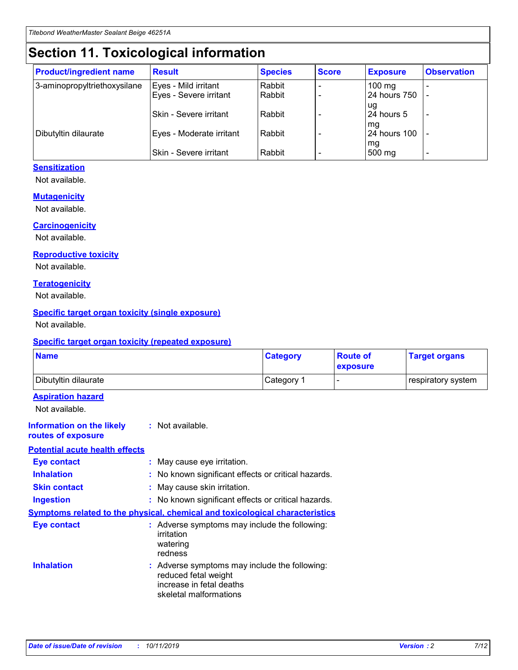## **Section 11. Toxicological information**

| <b>Product/ingredient name</b> | <b>Result</b>            | <b>Species</b> | <b>Score</b> | <b>Exposure</b>           | <b>Observation</b> |
|--------------------------------|--------------------------|----------------|--------------|---------------------------|--------------------|
| 3-aminopropyltriethoxysilane   | Eyes - Mild irritant     | Rabbit         |              | $100$ mg                  |                    |
|                                | Eyes - Severe irritant   | Rabbit         |              | 24 hours 750              |                    |
|                                |                          |                |              | ug                        |                    |
|                                | Skin - Severe irritant   | Rabbit         |              | 24 hours 5                | -                  |
| Dibutyltin dilaurate           | Eyes - Moderate irritant | Rabbit         |              | mq<br><b>24 hours 100</b> |                    |
|                                |                          |                |              | mg                        |                    |
|                                | Skin - Severe irritant   | Rabbit         |              | 500 mg                    |                    |

#### **Sensitization**

Not available.

#### **Mutagenicity**

Not available.

#### **Carcinogenicity**

Not available.

#### **Reproductive toxicity**

Not available.

#### **Teratogenicity**

Not available.

#### **Specific target organ toxicity (single exposure)**

Not available.

#### **Specific target organ toxicity (repeated exposure)**

| <b>Name</b>                                                                  |                                                                            | <b>Category</b>                                     | <b>Route of</b><br>exposure | <b>Target organs</b> |
|------------------------------------------------------------------------------|----------------------------------------------------------------------------|-----------------------------------------------------|-----------------------------|----------------------|
| Dibutyltin dilaurate                                                         |                                                                            | Category 1                                          | -                           | respiratory system   |
| <b>Aspiration hazard</b><br>Not available.                                   |                                                                            |                                                     |                             |                      |
| <b>Information on the likely</b><br>routes of exposure                       | : Not available.                                                           |                                                     |                             |                      |
| <b>Potential acute health effects</b>                                        |                                                                            |                                                     |                             |                      |
| <b>Eye contact</b>                                                           | : May cause eye irritation.                                                |                                                     |                             |                      |
| <b>Inhalation</b>                                                            |                                                                            | : No known significant effects or critical hazards. |                             |                      |
| <b>Skin contact</b>                                                          | : May cause skin irritation.                                               |                                                     |                             |                      |
| <b>Ingestion</b>                                                             |                                                                            | : No known significant effects or critical hazards. |                             |                      |
| Symptoms related to the physical, chemical and toxicological characteristics |                                                                            |                                                     |                             |                      |
| <b>Eye contact</b>                                                           | irritation<br>watering<br>redness                                          | : Adverse symptoms may include the following:       |                             |                      |
| <b>Inhalation</b>                                                            | reduced fetal weight<br>increase in fetal deaths<br>skeletal malformations | : Adverse symptoms may include the following:       |                             |                      |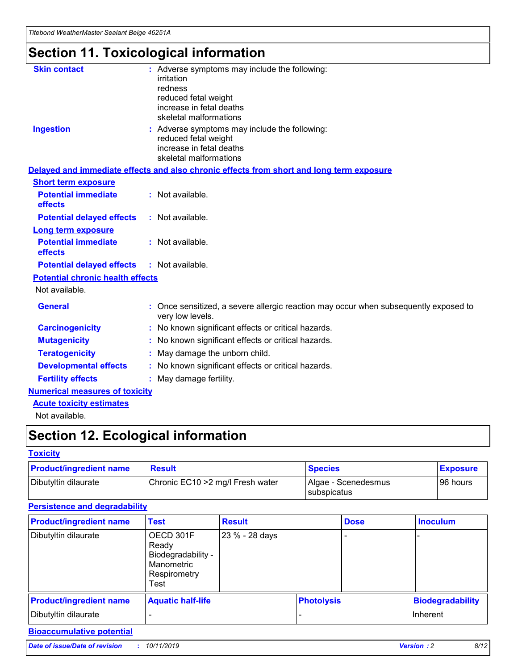## **Section 11. Toxicological information**

| <b>Skin contact</b>                     | : Adverse symptoms may include the following:                                                                               |  |
|-----------------------------------------|-----------------------------------------------------------------------------------------------------------------------------|--|
|                                         | irritation                                                                                                                  |  |
|                                         | redness<br>reduced fetal weight                                                                                             |  |
|                                         | increase in fetal deaths                                                                                                    |  |
|                                         | skeletal malformations                                                                                                      |  |
| <b>Ingestion</b>                        | : Adverse symptoms may include the following:<br>reduced fetal weight<br>increase in fetal deaths<br>skeletal malformations |  |
|                                         | Delayed and immediate effects and also chronic effects from short and long term exposure                                    |  |
| <b>Short term exposure</b>              |                                                                                                                             |  |
| <b>Potential immediate</b><br>effects   | : Not available.                                                                                                            |  |
| <b>Potential delayed effects</b>        | : Not available.                                                                                                            |  |
| <b>Long term exposure</b>               |                                                                                                                             |  |
| <b>Potential immediate</b><br>effects   | : Not available.                                                                                                            |  |
| <b>Potential delayed effects</b>        | : Not available.                                                                                                            |  |
| <b>Potential chronic health effects</b> |                                                                                                                             |  |
| Not available.                          |                                                                                                                             |  |
| <b>General</b>                          | : Once sensitized, a severe allergic reaction may occur when subsequently exposed to<br>very low levels.                    |  |
| <b>Carcinogenicity</b>                  | : No known significant effects or critical hazards.                                                                         |  |
| <b>Mutagenicity</b>                     | : No known significant effects or critical hazards.                                                                         |  |
| <b>Teratogenicity</b>                   | May damage the unborn child.                                                                                                |  |
| <b>Developmental effects</b>            | : No known significant effects or critical hazards.                                                                         |  |
| <b>Fertility effects</b>                | May damage fertility.                                                                                                       |  |
| <b>Numerical measures of toxicity</b>   |                                                                                                                             |  |
| <b>Acute toxicity estimates</b>         |                                                                                                                             |  |
| الملحلة والمستحيط والمسالم              |                                                                                                                             |  |

Not available.

## **Section 12. Ecological information**

#### **Toxicity**

| <b>Product/ingredient name</b> | <b>Result</b>                     | <b>Species</b>                       | <b>Exposure</b> |
|--------------------------------|-----------------------------------|--------------------------------------|-----------------|
| Dibutyltin dilaurate           | Chronic EC10 > 2 mg/l Fresh water | Algae - Scenedesmus<br>I subspicatus | l 96 hours      |

#### **Persistence and degradability**

| <b>Product/ingredient name</b> | <b>Test</b>                                                                    | <b>Result</b>  |                   | <b>Dose</b> | <b>Inoculum</b>         |
|--------------------------------|--------------------------------------------------------------------------------|----------------|-------------------|-------------|-------------------------|
| Dibutyltin dilaurate           | OECD 301F<br>Ready<br>Biodegradability -<br>Manometric<br>Respirometry<br>Test | 23 % - 28 days |                   |             |                         |
| <b>Product/ingredient name</b> | <b>Aquatic half-life</b>                                                       |                | <b>Photolysis</b> |             | <b>Biodegradability</b> |
| Dibutyltin dilaurate           |                                                                                |                |                   |             | Inherent                |

#### **Bioaccumulative potential**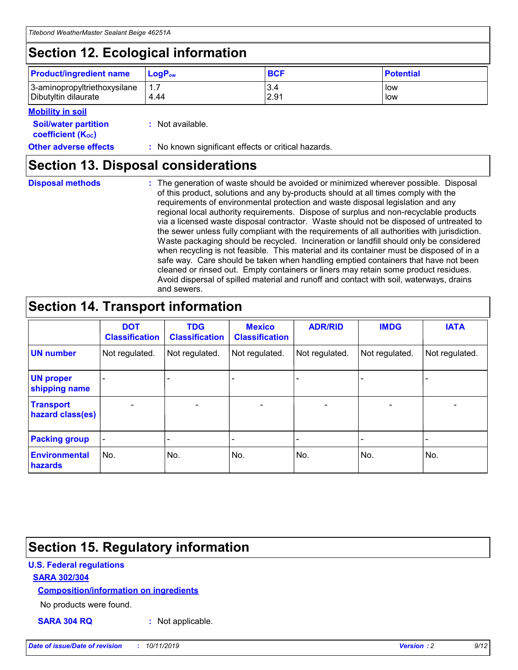## **Section 12. Ecological information**

| <b>Product/ingredient name</b> | $LoaPow$ | <b>BCF</b> | <b>Potential</b> |
|--------------------------------|----------|------------|------------------|
| 3-aminopropyltriethoxysilane   | 1.7      | 3.4        | low              |
| Dibutyltin dilaurate           | 4.44     | 2.91       | low              |

#### **Mobility in soil**

| <b>Soil/water partition</b><br>coefficient (K <sub>oc</sub> ) | : Not available.                                    |
|---------------------------------------------------------------|-----------------------------------------------------|
| <b>Other adverse effects</b>                                  | : No known significant effects or critical hazards. |

### **Section 13. Disposal considerations**

**Disposal methods :**

The generation of waste should be avoided or minimized wherever possible. Disposal of this product, solutions and any by-products should at all times comply with the requirements of environmental protection and waste disposal legislation and any regional local authority requirements. Dispose of surplus and non-recyclable products via a licensed waste disposal contractor. Waste should not be disposed of untreated to the sewer unless fully compliant with the requirements of all authorities with jurisdiction. Waste packaging should be recycled. Incineration or landfill should only be considered when recycling is not feasible. This material and its container must be disposed of in a safe way. Care should be taken when handling emptied containers that have not been cleaned or rinsed out. Empty containers or liners may retain some product residues. Avoid dispersal of spilled material and runoff and contact with soil, waterways, drains and sewers.

## **Section 14. Transport information**

|                                      | <b>DOT</b><br><b>Classification</b> | <b>TDG</b><br><b>Classification</b> | <b>Mexico</b><br><b>Classification</b> | <b>ADR/RID</b>               | <b>IMDG</b>    | <b>IATA</b>              |
|--------------------------------------|-------------------------------------|-------------------------------------|----------------------------------------|------------------------------|----------------|--------------------------|
| <b>UN number</b>                     | Not regulated.                      | Not regulated.                      | Not regulated.                         | Not regulated.               | Not regulated. | Not regulated.           |
| <b>UN proper</b><br>shipping name    |                                     |                                     |                                        |                              |                |                          |
| <b>Transport</b><br>hazard class(es) | $\blacksquare$                      | $\overline{\phantom{0}}$            | $\overline{\phantom{a}}$               | $\qquad \qquad \blacksquare$ | $\blacksquare$ | $\overline{\phantom{0}}$ |
| <b>Packing group</b>                 | $\overline{\phantom{a}}$            | -                                   |                                        | -                            |                | -                        |
| <b>Environmental</b><br>hazards      | No.                                 | No.                                 | No.                                    | No.                          | No.            | No.                      |

## **Section 15. Regulatory information**

#### **U.S. Federal regulations**

#### **SARA 302/304**

#### **Composition/information on ingredients**

No products were found.

**SARA 304 RQ :** Not applicable.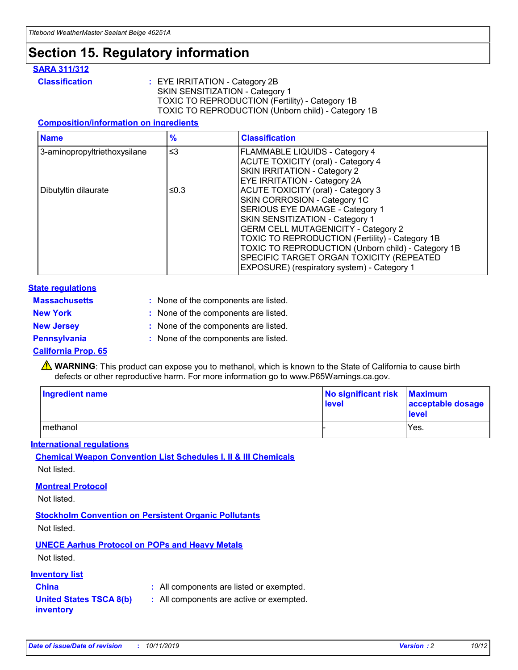## **Section 15. Regulatory information**

#### **SARA 311/312**

**Classification :** EYE IRRITATION - Category 2B SKIN SENSITIZATION - Category 1 TOXIC TO REPRODUCTION (Fertility) - Category 1B TOXIC TO REPRODUCTION (Unborn child) - Category 1B

#### **Composition/information on ingredients**

| <b>Name</b>                  | $\frac{9}{6}$ | <b>Classification</b>                                                                                            |
|------------------------------|---------------|------------------------------------------------------------------------------------------------------------------|
| 3-aminopropyltriethoxysilane | $\leq$ 3      | <b>FLAMMABLE LIQUIDS - Category 4</b><br><b>ACUTE TOXICITY (oral) - Category 4</b>                               |
|                              |               | SKIN IRRITATION - Category 2<br>EYE IRRITATION - Category 2A                                                     |
| Dibutyltin dilaurate         | ≤0.3          | ACUTE TOXICITY (oral) - Category 3<br>SKIN CORROSION - Category 1C                                               |
|                              |               | SERIOUS EYE DAMAGE - Category 1<br>SKIN SENSITIZATION - Category 1<br><b>GERM CELL MUTAGENICITY - Category 2</b> |
|                              |               | TOXIC TO REPRODUCTION (Fertility) - Category 1B<br>TOXIC TO REPRODUCTION (Unborn child) - Category 1B            |
|                              |               | SPECIFIC TARGET ORGAN TOXICITY (REPEATED<br>EXPOSURE) (respiratory system) - Category 1                          |

#### **State regulations**

| <b>Massachusetts</b> | : None of the components are listed. |
|----------------------|--------------------------------------|
| <b>New York</b>      | : None of the components are listed. |
| <b>New Jersey</b>    | : None of the components are listed. |
| <b>Pennsylvania</b>  | : None of the components are listed. |

#### **California Prop. 65**

**A** WARNING: This product can expose you to methanol, which is known to the State of California to cause birth defects or other reproductive harm. For more information go to www.P65Warnings.ca.gov.

| <b>Ingredient name</b> | No significant risk Maximum<br>level | acceptable dosage<br>level |
|------------------------|--------------------------------------|----------------------------|
| methanol               |                                      | Yes.                       |

#### **International regulations**

**Chemical Weapon Convention List Schedules I, II & III Chemicals** Not listed.

#### **Montreal Protocol**

Not listed.

#### **Stockholm Convention on Persistent Organic Pollutants**

Not listed.

#### **UNECE Aarhus Protocol on POPs and Heavy Metals**

Not listed.

#### **Inventory list**

### **China :** All components are listed or exempted.

**United States TSCA 8(b) inventory :** All components are active or exempted.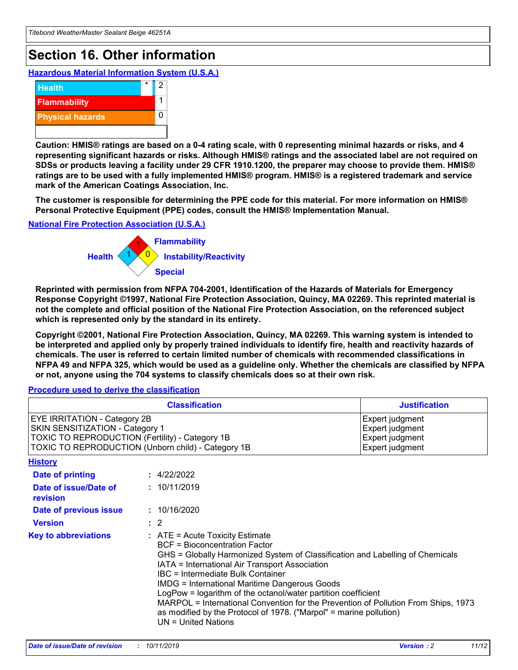## **Section 16. Other information**

**Hazardous Material Information System (U.S.A.)**



**Caution: HMIS® ratings are based on a 0-4 rating scale, with 0 representing minimal hazards or risks, and 4 representing significant hazards or risks. Although HMIS® ratings and the associated label are not required on SDSs or products leaving a facility under 29 CFR 1910.1200, the preparer may choose to provide them. HMIS® ratings are to be used with a fully implemented HMIS® program. HMIS® is a registered trademark and service mark of the American Coatings Association, Inc.**

**The customer is responsible for determining the PPE code for this material. For more information on HMIS® Personal Protective Equipment (PPE) codes, consult the HMIS® Implementation Manual.**

#### **National Fire Protection Association (U.S.A.)**



**Reprinted with permission from NFPA 704-2001, Identification of the Hazards of Materials for Emergency Response Copyright ©1997, National Fire Protection Association, Quincy, MA 02269. This reprinted material is not the complete and official position of the National Fire Protection Association, on the referenced subject which is represented only by the standard in its entirety.**

**Copyright ©2001, National Fire Protection Association, Quincy, MA 02269. This warning system is intended to be interpreted and applied only by properly trained individuals to identify fire, health and reactivity hazards of chemicals. The user is referred to certain limited number of chemicals with recommended classifications in NFPA 49 and NFPA 325, which would be used as a guideline only. Whether the chemicals are classified by NFPA or not, anyone using the 704 systems to classify chemicals does so at their own risk.**

**Procedure used to derive the classification**

| <b>Classification</b>                                                                                                                                                    |                                                                                                                                                                                                           | <b>Justification</b>                                                                                                                                                                                                                                                                                                                                               |  |
|--------------------------------------------------------------------------------------------------------------------------------------------------------------------------|-----------------------------------------------------------------------------------------------------------------------------------------------------------------------------------------------------------|--------------------------------------------------------------------------------------------------------------------------------------------------------------------------------------------------------------------------------------------------------------------------------------------------------------------------------------------------------------------|--|
| EYE IRRITATION - Category 2B<br>SKIN SENSITIZATION - Category 1<br>TOXIC TO REPRODUCTION (Fertility) - Category 1B<br>TOXIC TO REPRODUCTION (Unborn child) - Category 1B |                                                                                                                                                                                                           | Expert judgment<br>Expert judgment<br>Expert judgment<br>Expert judgment                                                                                                                                                                                                                                                                                           |  |
| <b>History</b>                                                                                                                                                           |                                                                                                                                                                                                           |                                                                                                                                                                                                                                                                                                                                                                    |  |
| Date of printing                                                                                                                                                         | : 4/22/2022                                                                                                                                                                                               |                                                                                                                                                                                                                                                                                                                                                                    |  |
| Date of issue/Date of<br>revision                                                                                                                                        | : 10/11/2019                                                                                                                                                                                              |                                                                                                                                                                                                                                                                                                                                                                    |  |
| Date of previous issue                                                                                                                                                   | : 10/16/2020                                                                                                                                                                                              |                                                                                                                                                                                                                                                                                                                                                                    |  |
| <b>Version</b>                                                                                                                                                           | $\therefore$ 2                                                                                                                                                                                            |                                                                                                                                                                                                                                                                                                                                                                    |  |
| <b>Key to abbreviations</b>                                                                                                                                              | $\therefore$ ATE = Acute Toxicity Estimate<br><b>BCF</b> = Bioconcentration Factor<br>IATA = International Air Transport Association<br><b>IBC</b> = Intermediate Bulk Container<br>$UN = United Nations$ | GHS = Globally Harmonized System of Classification and Labelling of Chemicals<br><b>IMDG = International Maritime Dangerous Goods</b><br>LogPow = logarithm of the octanol/water partition coefficient<br>MARPOL = International Convention for the Prevention of Pollution From Ships, 1973<br>as modified by the Protocol of 1978. ("Marpol" = marine pollution) |  |